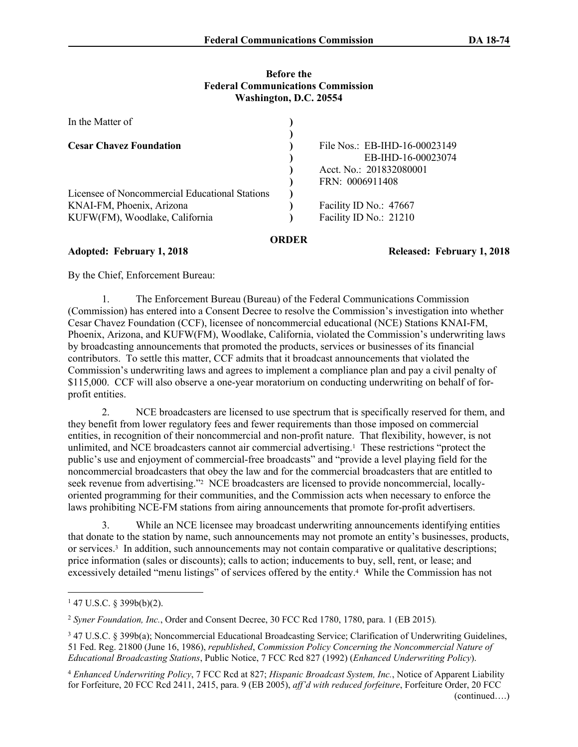#### **Before the Federal Communications Commission Washington, D.C. 20554**

| File Nos.: EB-IHD-16-00023149              |
|--------------------------------------------|
| EB-IHD-16-00023074                         |
| Acct. No.: 201832080001<br>FRN: 0006911408 |
|                                            |
| Facility ID No.: 47667                     |
| Facility ID No.: 21210                     |
|                                            |

#### **ORDER**

#### **Adopted: February 1, 2018 Released: February 1, 2018**

By the Chief, Enforcement Bureau:

1. The Enforcement Bureau (Bureau) of the Federal Communications Commission (Commission) has entered into a Consent Decree to resolve the Commission's investigation into whether Cesar Chavez Foundation (CCF), licensee of noncommercial educational (NCE) Stations KNAI-FM, Phoenix, Arizona, and KUFW(FM), Woodlake, California, violated the Commission's underwriting laws by broadcasting announcements that promoted the products, services or businesses of its financial contributors. To settle this matter, CCF admits that it broadcast announcements that violated the Commission's underwriting laws and agrees to implement a compliance plan and pay a civil penalty of \$115,000. CCF will also observe a one-year moratorium on conducting underwriting on behalf of forprofit entities.

2. NCE broadcasters are licensed to use spectrum that is specifically reserved for them, and they benefit from lower regulatory fees and fewer requirements than those imposed on commercial entities, in recognition of their noncommercial and non-profit nature. That flexibility, however, is not unlimited, and NCE broadcasters cannot air commercial advertising.<sup>1</sup> These restrictions "protect the public's use and enjoyment of commercial-free broadcasts" and "provide a level playing field for the noncommercial broadcasters that obey the law and for the commercial broadcasters that are entitled to seek revenue from advertising."<sup>2</sup> NCE broadcasters are licensed to provide noncommercial, locallyoriented programming for their communities, and the Commission acts when necessary to enforce the laws prohibiting NCE-FM stations from airing announcements that promote for-profit advertisers.

3. While an NCE licensee may broadcast underwriting announcements identifying entities that donate to the station by name, such announcements may not promote an entity's businesses, products, or services.<sup>3</sup> In addition, such announcements may not contain comparative or qualitative descriptions; price information (sales or discounts); calls to action; inducements to buy, sell, rent, or lease; and excessively detailed "menu listings" of services offered by the entity.<sup>4</sup> While the Commission has not

<sup>2</sup> *Syner Foundation, Inc.*, Order and Consent Decree, 30 FCC Rcd 1780, 1780, para. 1 (EB 2015)*.*

 $147$  U.S.C. § 399b(b)(2).

<sup>3</sup> 47 U.S.C. § 399b(a); Noncommercial Educational Broadcasting Service; Clarification of Underwriting Guidelines, 51 Fed. Reg. 21800 (June 16, 1986), *republished*, *Commission Policy Concerning the Noncommercial Nature of Educational Broadcasting Stations*, Public Notice, 7 FCC Rcd 827 (1992) (*Enhanced Underwriting Policy*).

<sup>4</sup> *Enhanced Underwriting Policy*, 7 FCC Rcd at 827; *Hispanic Broadcast System, Inc.*, Notice of Apparent Liability for Forfeiture, 20 FCC Rcd 2411, 2415, para. 9 (EB 2005), *aff'd with reduced forfeiture*, Forfeiture Order, 20 FCC (continued….)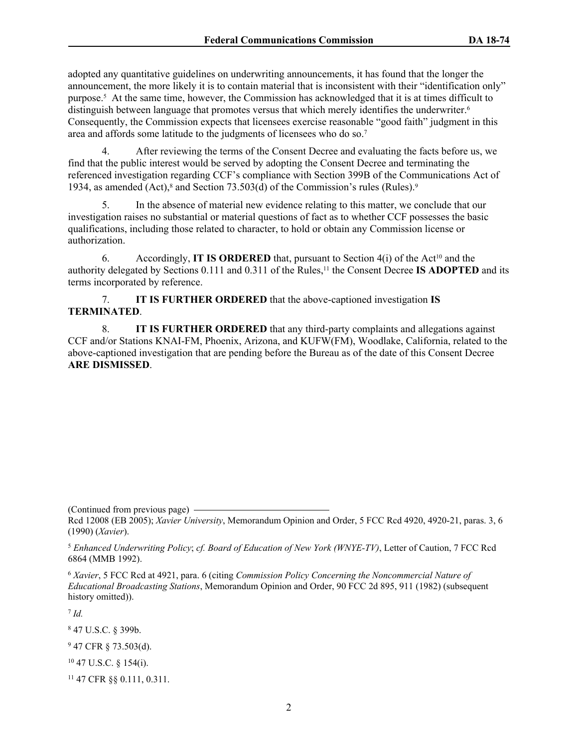adopted any quantitative guidelines on underwriting announcements, it has found that the longer the announcement, the more likely it is to contain material that is inconsistent with their "identification only" purpose.<sup>5</sup> At the same time, however, the Commission has acknowledged that it is at times difficult to distinguish between language that promotes versus that which merely identifies the underwriter.<sup>6</sup> Consequently, the Commission expects that licensees exercise reasonable "good faith" judgment in this area and affords some latitude to the judgments of licensees who do so.<sup>7</sup>

4. After reviewing the terms of the Consent Decree and evaluating the facts before us, we find that the public interest would be served by adopting the Consent Decree and terminating the referenced investigation regarding CCF's compliance with Section 399B of the Communications Act of 1934, as amended (Act),<sup>8</sup> and Section 73.503(d) of the Commission's rules (Rules).<sup>9</sup>

5. In the absence of material new evidence relating to this matter, we conclude that our investigation raises no substantial or material questions of fact as to whether CCF possesses the basic qualifications, including those related to character, to hold or obtain any Commission license or authorization.

6. Accordingly, **IT IS ORDERED** that, pursuant to Section  $4(i)$  of the Act<sup>10</sup> and the authority delegated by Sections 0.111 and 0.311 of the Rules,<sup>11</sup> the Consent Decree **IS ADOPTED** and its terms incorporated by reference.

7. **IT IS FURTHER ORDERED** that the above-captioned investigation **IS TERMINATED**.

8. **IT IS FURTHER ORDERED** that any third-party complaints and allegations against CCF and/or Stations KNAI-FM, Phoenix, Arizona, and KUFW(FM), Woodlake, California, related to the above-captioned investigation that are pending before the Bureau as of the date of this Consent Decree **ARE DISMISSED**.

(Continued from previous page)

7  *Id.*

8 47 U.S.C. § 399b.

 $947$  CFR § 73.503(d).

<sup>10</sup> 47 U.S.C. § 154(i).

11 47 CFR §§ 0.111, 0.311.

Rcd 12008 (EB 2005); *Xavier University*, Memorandum Opinion and Order, 5 FCC Rcd 4920, 4920-21, paras. 3, 6 (1990) (*Xavier*).

<sup>5</sup> *Enhanced Underwriting Policy*; *cf. Board of Education of New York (WNYE-TV)*, Letter of Caution, 7 FCC Rcd 6864 (MMB 1992).

<sup>6</sup> *Xavier*, 5 FCC Rcd at 4921, para. 6 (citing *Commission Policy Concerning the Noncommercial Nature of Educational Broadcasting Stations*, Memorandum Opinion and Order, 90 FCC 2d 895, 911 (1982) (subsequent history omitted)).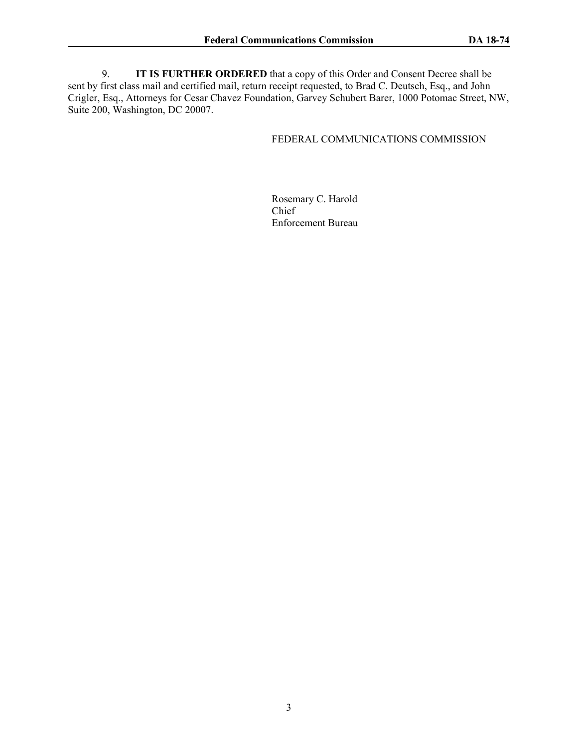9. **IT IS FURTHER ORDERED** that a copy of this Order and Consent Decree shall be sent by first class mail and certified mail, return receipt requested, to Brad C. Deutsch, Esq., and John Crigler, Esq., Attorneys for Cesar Chavez Foundation, Garvey Schubert Barer, 1000 Potomac Street, NW, Suite 200, Washington, DC 20007.

#### FEDERAL COMMUNICATIONS COMMISSION

Rosemary C. Harold Chief Enforcement Bureau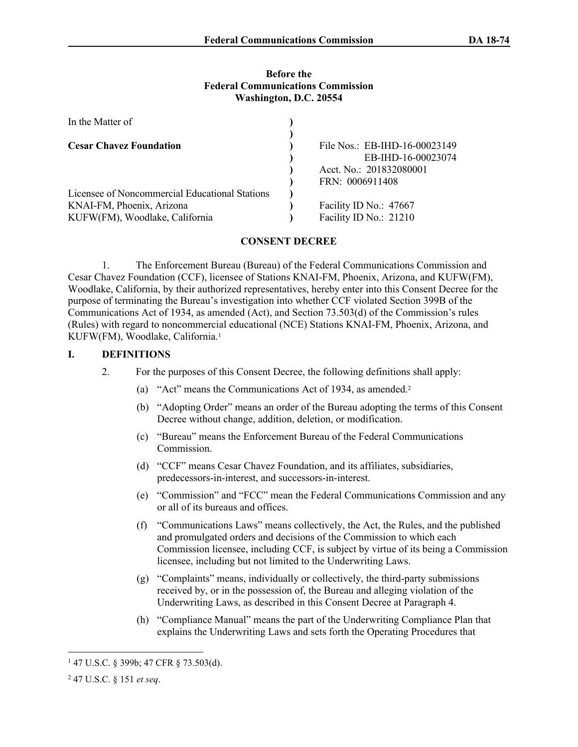#### **Before the Federal Communications Commission Washington, D.C. 20554**

| In the Matter of                               |                               |
|------------------------------------------------|-------------------------------|
|                                                |                               |
| <b>Cesar Chavez Foundation</b>                 | File Nos.: EB-IHD-16-00023149 |
|                                                | EB-IHD-16-00023074            |
|                                                | Acct. No.: 201832080001       |
|                                                | FRN: 0006911408               |
| Licensee of Noncommercial Educational Stations |                               |
| KNAI-FM, Phoenix, Arizona                      | Facility ID No.: 47667        |
| KUFW(FM), Woodlake, California                 | Facility ID No.: 21210        |

## **CONSENT DECREE**

1. The Enforcement Bureau (Bureau) of the Federal Communications Commission and Cesar Chavez Foundation (CCF), licensee of Stations KNAI-FM, Phoenix, Arizona, and KUFW(FM), Woodlake, California, by their authorized representatives, hereby enter into this Consent Decree for the purpose of terminating the Bureau's investigation into whether CCF violated Section 399B of the Communications Act of 1934, as amended (Act), and Section 73.503(d) of the Commission's rules (Rules) with regard to noncommercial educational (NCE) Stations KNAI-FM, Phoenix, Arizona, and KUFW(FM), Woodlake, California.<sup>1</sup>

## **I. DEFINITIONS**

- 2. For the purposes of this Consent Decree, the following definitions shall apply:
	- (a) "Act" means the Communications Act of 1934, as amended.<sup>2</sup>
	- (b) "Adopting Order" means an order of the Bureau adopting the terms of this Consent Decree without change, addition, deletion, or modification.
	- (c) "Bureau" means the Enforcement Bureau of the Federal Communications **Commission**
	- (d) "CCF" means Cesar Chavez Foundation, and its affiliates, subsidiaries, predecessors-in-interest, and successors-in-interest.
	- (e) "Commission" and "FCC" mean the Federal Communications Commission and any or all of its bureaus and offices.
	- (f) "Communications Laws" means collectively, the Act, the Rules, and the published and promulgated orders and decisions of the Commission to which each Commission licensee, including CCF, is subject by virtue of its being a Commission licensee, including but not limited to the Underwriting Laws.
	- (g) "Complaints" means, individually or collectively, the third-party submissions received by, or in the possession of, the Bureau and alleging violation of the Underwriting Laws, as described in this Consent Decree at Paragraph 4.
	- (h) "Compliance Manual" means the part of the Underwriting Compliance Plan that explains the Underwriting Laws and sets forth the Operating Procedures that

<sup>1</sup> 47 U.S.C. § 399b; 47 CFR § 73.503(d).

<sup>2</sup> 47 U.S.C. § 151 *et seq*.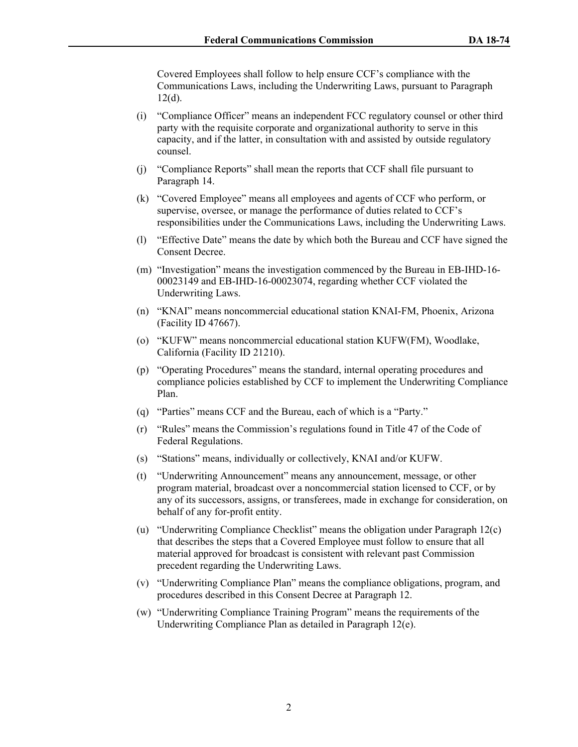Covered Employees shall follow to help ensure CCF's compliance with the Communications Laws, including the Underwriting Laws, pursuant to Paragraph  $12(d)$ .

- (i) "Compliance Officer" means an independent FCC regulatory counsel or other third party with the requisite corporate and organizational authority to serve in this capacity, and if the latter, in consultation with and assisted by outside regulatory counsel.
- (j) "Compliance Reports" shall mean the reports that CCF shall file pursuant to Paragraph 14.
- (k) "Covered Employee" means all employees and agents of CCF who perform, or supervise, oversee, or manage the performance of duties related to CCF's responsibilities under the Communications Laws, including the Underwriting Laws.
- (l) "Effective Date" means the date by which both the Bureau and CCF have signed the Consent Decree.
- (m) "Investigation" means the investigation commenced by the Bureau in EB-IHD-16- 00023149 and EB-IHD-16-00023074, regarding whether CCF violated the Underwriting Laws.
- (n) "KNAI" means noncommercial educational station KNAI-FM, Phoenix, Arizona (Facility ID 47667).
- (o) "KUFW" means noncommercial educational station KUFW(FM), Woodlake, California (Facility ID 21210).
- (p) "Operating Procedures" means the standard, internal operating procedures and compliance policies established by CCF to implement the Underwriting Compliance Plan.
- (q) "Parties" means CCF and the Bureau, each of which is a "Party."
- (r) "Rules" means the Commission's regulations found in Title 47 of the Code of Federal Regulations.
- (s) "Stations" means, individually or collectively, KNAI and/or KUFW.
- (t) "Underwriting Announcement" means any announcement, message, or other program material, broadcast over a noncommercial station licensed to CCF, or by any of its successors, assigns, or transferees, made in exchange for consideration, on behalf of any for-profit entity.
- (u) "Underwriting Compliance Checklist" means the obligation under Paragraph 12(c) that describes the steps that a Covered Employee must follow to ensure that all material approved for broadcast is consistent with relevant past Commission precedent regarding the Underwriting Laws.
- (v) "Underwriting Compliance Plan" means the compliance obligations, program, and procedures described in this Consent Decree at Paragraph 12.
- (w) "Underwriting Compliance Training Program" means the requirements of the Underwriting Compliance Plan as detailed in Paragraph 12(e).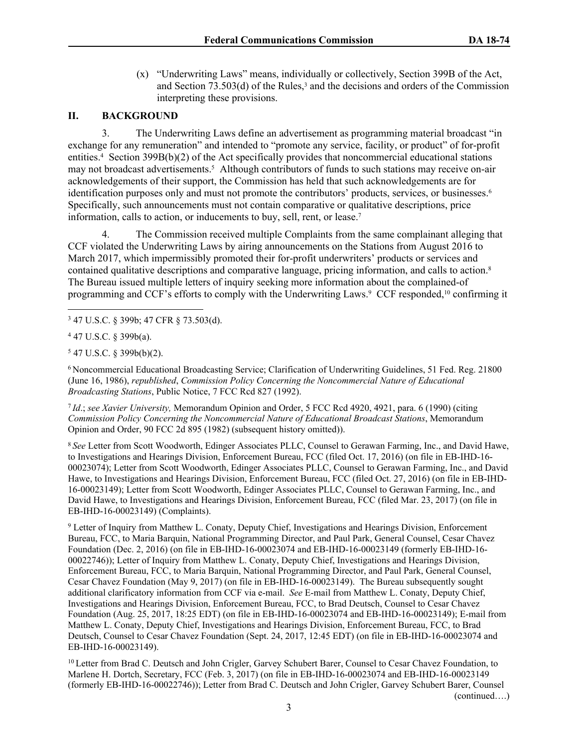(x) "Underwriting Laws" means, individually or collectively, Section 399B of the Act, and Section  $73.503(d)$  of the Rules,<sup>3</sup> and the decisions and orders of the Commission interpreting these provisions.

## **II. BACKGROUND**

3. The Underwriting Laws define an advertisement as programming material broadcast "in exchange for any remuneration" and intended to "promote any service, facility, or product" of for-profit entities.<sup>4</sup> Section 399B(b)(2) of the Act specifically provides that noncommercial educational stations may not broadcast advertisements.<sup>5</sup> Although contributors of funds to such stations may receive on-air acknowledgements of their support, the Commission has held that such acknowledgements are for identification purposes only and must not promote the contributors' products, services, or businesses.<sup>6</sup> Specifically, such announcements must not contain comparative or qualitative descriptions, price information, calls to action, or inducements to buy, sell, rent, or lease.<sup>7</sup>

The Commission received multiple Complaints from the same complainant alleging that CCF violated the Underwriting Laws by airing announcements on the Stations from August 2016 to March 2017, which impermissibly promoted their for-profit underwriters' products or services and contained qualitative descriptions and comparative language, pricing information, and calls to action.<sup>8</sup> The Bureau issued multiple letters of inquiry seeking more information about the complained-of programming and CCF's efforts to comply with the Underwriting Laws.<sup>9</sup> CCF responded,<sup>10</sup> confirming it

<sup>6</sup>Noncommercial Educational Broadcasting Service; Clarification of Underwriting Guidelines, 51 Fed. Reg. 21800 (June 16, 1986), *republished*, *Commission Policy Concerning the Noncommercial Nature of Educational Broadcasting Stations*, Public Notice, 7 FCC Rcd 827 (1992).

<sup>7</sup>*Id*.; *see Xavier University,* Memorandum Opinion and Order, 5 FCC Rcd 4920, 4921, para. 6 (1990) (citing *Commission Policy Concerning the Noncommercial Nature of Educational Broadcast Stations*, Memorandum Opinion and Order, 90 FCC 2d 895 (1982) (subsequent history omitted)).

<sup>8</sup>*See* Letter from Scott Woodworth, Edinger Associates PLLC, Counsel to Gerawan Farming, Inc., and David Hawe, to Investigations and Hearings Division, Enforcement Bureau, FCC (filed Oct. 17, 2016) (on file in EB-IHD-16- 00023074); Letter from Scott Woodworth, Edinger Associates PLLC, Counsel to Gerawan Farming, Inc., and David Hawe, to Investigations and Hearings Division, Enforcement Bureau, FCC (filed Oct. 27, 2016) (on file in EB-IHD-16-00023149); Letter from Scott Woodworth, Edinger Associates PLLC, Counsel to Gerawan Farming, Inc., and David Hawe, to Investigations and Hearings Division, Enforcement Bureau, FCC (filed Mar. 23, 2017) (on file in EB-IHD-16-00023149) (Complaints).

<sup>9</sup> Letter of Inquiry from Matthew L. Conaty, Deputy Chief, Investigations and Hearings Division, Enforcement Bureau, FCC, to Maria Barquin, National Programming Director, and Paul Park, General Counsel, Cesar Chavez Foundation (Dec. 2, 2016) (on file in EB-IHD-16-00023074 and EB-IHD-16-00023149 (formerly EB-IHD-16- 00022746)); Letter of Inquiry from Matthew L. Conaty, Deputy Chief, Investigations and Hearings Division, Enforcement Bureau, FCC, to Maria Barquin, National Programming Director, and Paul Park, General Counsel, Cesar Chavez Foundation (May 9, 2017) (on file in EB-IHD-16-00023149). The Bureau subsequently sought additional clarificatory information from CCF via e-mail. *See* E-mail from Matthew L. Conaty, Deputy Chief, Investigations and Hearings Division, Enforcement Bureau, FCC, to Brad Deutsch, Counsel to Cesar Chavez Foundation (Aug. 25, 2017, 18:25 EDT) (on file in EB-IHD-16-00023074 and EB-IHD-16-00023149); E-mail from Matthew L. Conaty, Deputy Chief, Investigations and Hearings Division, Enforcement Bureau, FCC, to Brad Deutsch, Counsel to Cesar Chavez Foundation (Sept. 24, 2017, 12:45 EDT) (on file in EB-IHD-16-00023074 and EB-IHD-16-00023149).

<sup>10</sup> Letter from Brad C. Deutsch and John Crigler, Garvey Schubert Barer, Counsel to Cesar Chavez Foundation, to Marlene H. Dortch, Secretary, FCC (Feb. 3, 2017) (on file in EB-IHD-16-00023074 and EB-IHD-16-00023149 (formerly EB-IHD-16-00022746)); Letter from Brad C. Deutsch and John Crigler, Garvey Schubert Barer, Counsel (continued….)

<sup>3</sup> 47 U.S.C. § 399b; 47 CFR § 73.503(d).

 $447$  U.S.C. § 399b(a).

<sup>5</sup> 47 U.S.C. § 399b(b)(2).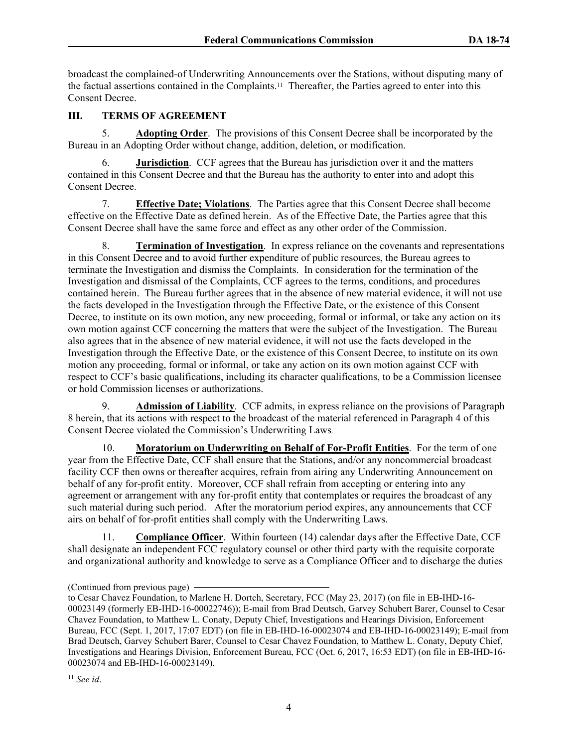broadcast the complained-of Underwriting Announcements over the Stations, without disputing many of the factual assertions contained in the Complaints.11 Thereafter, the Parties agreed to enter into this Consent Decree.

# **III. TERMS OF AGREEMENT**

5. **Adopting Order**. The provisions of this Consent Decree shall be incorporated by the Bureau in an Adopting Order without change, addition, deletion, or modification.

6. **Jurisdiction**. CCF agrees that the Bureau has jurisdiction over it and the matters contained in this Consent Decree and that the Bureau has the authority to enter into and adopt this Consent Decree.

7. **Effective Date; Violations**. The Parties agree that this Consent Decree shall become effective on the Effective Date as defined herein. As of the Effective Date, the Parties agree that this Consent Decree shall have the same force and effect as any other order of the Commission.

8. **Termination of Investigation**. In express reliance on the covenants and representations in this Consent Decree and to avoid further expenditure of public resources, the Bureau agrees to terminate the Investigation and dismiss the Complaints. In consideration for the termination of the Investigation and dismissal of the Complaints, CCF agrees to the terms, conditions, and procedures contained herein. The Bureau further agrees that in the absence of new material evidence, it will not use the facts developed in the Investigation through the Effective Date, or the existence of this Consent Decree, to institute on its own motion, any new proceeding, formal or informal, or take any action on its own motion against CCF concerning the matters that were the subject of the Investigation. The Bureau also agrees that in the absence of new material evidence, it will not use the facts developed in the Investigation through the Effective Date, or the existence of this Consent Decree, to institute on its own motion any proceeding, formal or informal, or take any action on its own motion against CCF with respect to CCF's basic qualifications, including its character qualifications, to be a Commission licensee or hold Commission licenses or authorizations.

9. **Admission of Liability**. CCF admits, in express reliance on the provisions of Paragraph 8 herein, that its actions with respect to the broadcast of the material referenced in Paragraph 4 of this Consent Decree violated the Commission's Underwriting Laws.

10. **Moratorium on Underwriting on Behalf of For-Profit Entities**. For the term of one year from the Effective Date, CCF shall ensure that the Stations, and/or any noncommercial broadcast facility CCF then owns or thereafter acquires, refrain from airing any Underwriting Announcement on behalf of any for-profit entity. Moreover, CCF shall refrain from accepting or entering into any agreement or arrangement with any for-profit entity that contemplates or requires the broadcast of any such material during such period. After the moratorium period expires, any announcements that CCF airs on behalf of for-profit entities shall comply with the Underwriting Laws.

11. **Compliance Officer**. Within fourteen (14) calendar days after the Effective Date, CCF shall designate an independent FCC regulatory counsel or other third party with the requisite corporate and organizational authority and knowledge to serve as a Compliance Officer and to discharge the duties

<sup>(</sup>Continued from previous page)

to Cesar Chavez Foundation, to Marlene H. Dortch, Secretary, FCC (May 23, 2017) (on file in EB-IHD-16- 00023149 (formerly EB-IHD-16-00022746)); E-mail from Brad Deutsch, Garvey Schubert Barer, Counsel to Cesar Chavez Foundation, to Matthew L. Conaty, Deputy Chief, Investigations and Hearings Division, Enforcement Bureau, FCC (Sept. 1, 2017, 17:07 EDT) (on file in EB-IHD-16-00023074 and EB-IHD-16-00023149); E-mail from Brad Deutsch, Garvey Schubert Barer, Counsel to Cesar Chavez Foundation, to Matthew L. Conaty, Deputy Chief, Investigations and Hearings Division, Enforcement Bureau, FCC (Oct. 6, 2017, 16:53 EDT) (on file in EB-IHD-16- 00023074 and EB-IHD-16-00023149).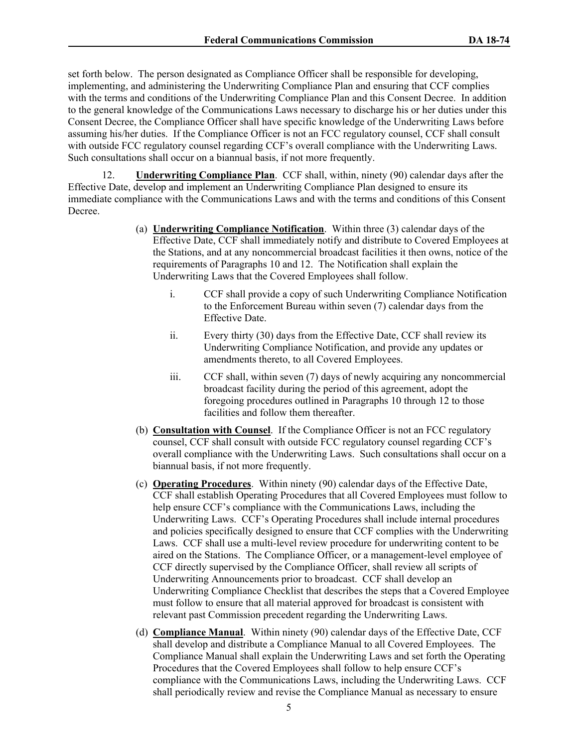set forth below. The person designated as Compliance Officer shall be responsible for developing, implementing, and administering the Underwriting Compliance Plan and ensuring that CCF complies with the terms and conditions of the Underwriting Compliance Plan and this Consent Decree. In addition to the general knowledge of the Communications Laws necessary to discharge his or her duties under this Consent Decree, the Compliance Officer shall have specific knowledge of the Underwriting Laws before assuming his/her duties. If the Compliance Officer is not an FCC regulatory counsel, CCF shall consult with outside FCC regulatory counsel regarding CCF's overall compliance with the Underwriting Laws. Such consultations shall occur on a biannual basis, if not more frequently.

12. **Underwriting Compliance Plan**. CCF shall, within, ninety (90) calendar days after the Effective Date, develop and implement an Underwriting Compliance Plan designed to ensure its immediate compliance with the Communications Laws and with the terms and conditions of this Consent Decree.

- (a) **Underwriting Compliance Notification**. Within three (3) calendar days of the Effective Date, CCF shall immediately notify and distribute to Covered Employees at the Stations, and at any noncommercial broadcast facilities it then owns, notice of the requirements of Paragraphs 10 and 12. The Notification shall explain the Underwriting Laws that the Covered Employees shall follow.
	- i. CCF shall provide a copy of such Underwriting Compliance Notification to the Enforcement Bureau within seven (7) calendar days from the Effective Date.
	- ii. Every thirty (30) days from the Effective Date, CCF shall review its Underwriting Compliance Notification, and provide any updates or amendments thereto, to all Covered Employees.
	- iii. CCF shall, within seven (7) days of newly acquiring any noncommercial broadcast facility during the period of this agreement, adopt the foregoing procedures outlined in Paragraphs 10 through 12 to those facilities and follow them thereafter.
- (b) **Consultation with Counsel**. If the Compliance Officer is not an FCC regulatory counsel, CCF shall consult with outside FCC regulatory counsel regarding CCF's overall compliance with the Underwriting Laws. Such consultations shall occur on a biannual basis, if not more frequently.
- (c) **Operating Procedures**. Within ninety (90) calendar days of the Effective Date, CCF shall establish Operating Procedures that all Covered Employees must follow to help ensure CCF's compliance with the Communications Laws, including the Underwriting Laws. CCF's Operating Procedures shall include internal procedures and policies specifically designed to ensure that CCF complies with the Underwriting Laws. CCF shall use a multi-level review procedure for underwriting content to be aired on the Stations. The Compliance Officer, or a management-level employee of CCF directly supervised by the Compliance Officer, shall review all scripts of Underwriting Announcements prior to broadcast. CCF shall develop an Underwriting Compliance Checklist that describes the steps that a Covered Employee must follow to ensure that all material approved for broadcast is consistent with relevant past Commission precedent regarding the Underwriting Laws.
- (d) **Compliance Manual**. Within ninety (90) calendar days of the Effective Date, CCF shall develop and distribute a Compliance Manual to all Covered Employees. The Compliance Manual shall explain the Underwriting Laws and set forth the Operating Procedures that the Covered Employees shall follow to help ensure CCF's compliance with the Communications Laws, including the Underwriting Laws. CCF shall periodically review and revise the Compliance Manual as necessary to ensure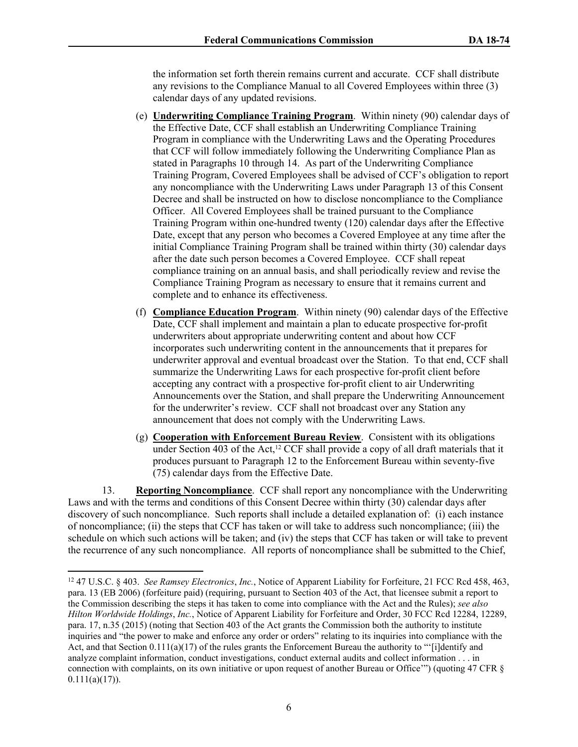the information set forth therein remains current and accurate. CCF shall distribute any revisions to the Compliance Manual to all Covered Employees within three (3) calendar days of any updated revisions.

- (e) **Underwriting Compliance Training Program**. Within ninety (90) calendar days of the Effective Date, CCF shall establish an Underwriting Compliance Training Program in compliance with the Underwriting Laws and the Operating Procedures that CCF will follow immediately following the Underwriting Compliance Plan as stated in Paragraphs 10 through 14. As part of the Underwriting Compliance Training Program, Covered Employees shall be advised of CCF's obligation to report any noncompliance with the Underwriting Laws under Paragraph 13 of this Consent Decree and shall be instructed on how to disclose noncompliance to the Compliance Officer. All Covered Employees shall be trained pursuant to the Compliance Training Program within one-hundred twenty (120) calendar days after the Effective Date, except that any person who becomes a Covered Employee at any time after the initial Compliance Training Program shall be trained within thirty (30) calendar days after the date such person becomes a Covered Employee. CCF shall repeat compliance training on an annual basis, and shall periodically review and revise the Compliance Training Program as necessary to ensure that it remains current and complete and to enhance its effectiveness.
- (f) **Compliance Education Program**. Within ninety (90) calendar days of the Effective Date, CCF shall implement and maintain a plan to educate prospective for-profit underwriters about appropriate underwriting content and about how CCF incorporates such underwriting content in the announcements that it prepares for underwriter approval and eventual broadcast over the Station. To that end, CCF shall summarize the Underwriting Laws for each prospective for-profit client before accepting any contract with a prospective for-profit client to air Underwriting Announcements over the Station, and shall prepare the Underwriting Announcement for the underwriter's review. CCF shall not broadcast over any Station any announcement that does not comply with the Underwriting Laws.
- (g) **Cooperation with Enforcement Bureau Review**. Consistent with its obligations under Section 403 of the Act,<sup>12</sup> CCF shall provide a copy of all draft materials that it produces pursuant to Paragraph 12 to the Enforcement Bureau within seventy-five (75) calendar days from the Effective Date.

13. **Reporting Noncompliance**. CCF shall report any noncompliance with the Underwriting Laws and with the terms and conditions of this Consent Decree within thirty (30) calendar days after discovery of such noncompliance. Such reports shall include a detailed explanation of: (i) each instance of noncompliance; (ii) the steps that CCF has taken or will take to address such noncompliance; (iii) the schedule on which such actions will be taken; and (iv) the steps that CCF has taken or will take to prevent the recurrence of any such noncompliance. All reports of noncompliance shall be submitted to the Chief,

<sup>12</sup> 47 U.S.C. § 403. *See Ramsey Electronics*, *Inc.*, Notice of Apparent Liability for Forfeiture, 21 FCC Rcd 458, 463, para. 13 (EB 2006) (forfeiture paid) (requiring, pursuant to Section 403 of the Act, that licensee submit a report to the Commission describing the steps it has taken to come into compliance with the Act and the Rules); *see also Hilton Worldwide Holdings*, *Inc.*, Notice of Apparent Liability for Forfeiture and Order, 30 FCC Rcd 12284, 12289, para. 17, n.35 (2015) (noting that Section 403 of the Act grants the Commission both the authority to institute inquiries and "the power to make and enforce any order or orders" relating to its inquiries into compliance with the Act, and that Section 0.111(a)(17) of the rules grants the Enforcement Bureau the authority to "'[i]dentify and analyze complaint information, conduct investigations, conduct external audits and collect information . . . in connection with complaints, on its own initiative or upon request of another Bureau or Office'") (quoting 47 CFR §  $0.111(a)(17)$ ).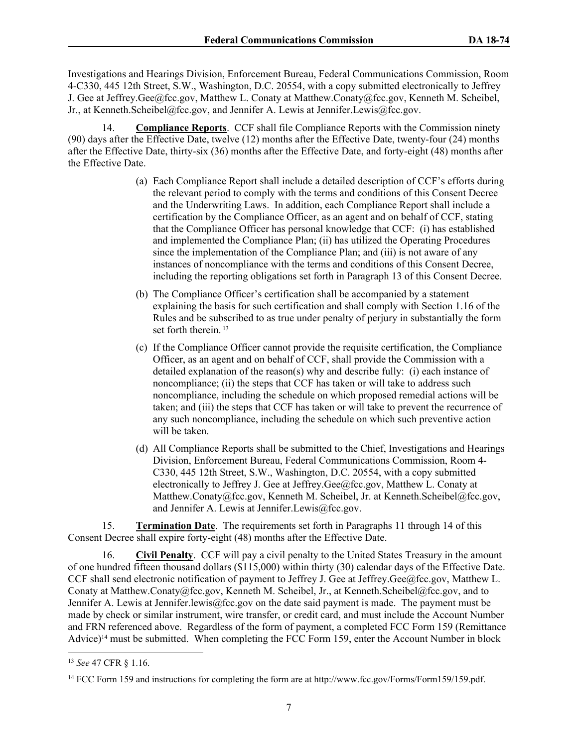Investigations and Hearings Division, Enforcement Bureau, Federal Communications Commission, Room 4-C330, 445 12th Street, S.W., Washington, D.C. 20554, with a copy submitted electronically to Jeffrey J. Gee at Jeffrey.Gee@fcc.gov, Matthew L. Conaty at Matthew.Conaty@fcc.gov, Kenneth M. Scheibel, Jr., at Kenneth.Scheibel@fcc.gov, and Jennifer A. Lewis at Jennifer.Lewis@fcc.gov.

14. **Compliance Reports**. CCF shall file Compliance Reports with the Commission ninety (90) days after the Effective Date, twelve (12) months after the Effective Date, twenty-four (24) months after the Effective Date, thirty-six (36) months after the Effective Date, and forty-eight (48) months after the Effective Date.

- (a) Each Compliance Report shall include a detailed description of CCF's efforts during the relevant period to comply with the terms and conditions of this Consent Decree and the Underwriting Laws. In addition, each Compliance Report shall include a certification by the Compliance Officer, as an agent and on behalf of CCF, stating that the Compliance Officer has personal knowledge that CCF: (i) has established and implemented the Compliance Plan; (ii) has utilized the Operating Procedures since the implementation of the Compliance Plan; and (iii) is not aware of any instances of noncompliance with the terms and conditions of this Consent Decree, including the reporting obligations set forth in Paragraph 13 of this Consent Decree.
- (b) The Compliance Officer's certification shall be accompanied by a statement explaining the basis for such certification and shall comply with Section 1.16 of the Rules and be subscribed to as true under penalty of perjury in substantially the form set forth therein.<sup>13</sup>
- (c) If the Compliance Officer cannot provide the requisite certification, the Compliance Officer, as an agent and on behalf of CCF, shall provide the Commission with a detailed explanation of the reason(s) why and describe fully: (i) each instance of noncompliance; (ii) the steps that CCF has taken or will take to address such noncompliance, including the schedule on which proposed remedial actions will be taken; and (iii) the steps that CCF has taken or will take to prevent the recurrence of any such noncompliance, including the schedule on which such preventive action will be taken.
- (d) All Compliance Reports shall be submitted to the Chief, Investigations and Hearings Division, Enforcement Bureau, Federal Communications Commission, Room 4- C330, 445 12th Street, S.W., Washington, D.C. 20554, with a copy submitted electronically to Jeffrey J. Gee at Jeffrey.Gee@fcc.gov, Matthew L. Conaty at Matthew.Conaty@fcc.gov, Kenneth M. Scheibel, Jr. at Kenneth.Scheibel@fcc.gov, and Jennifer A. Lewis at Jennifer.Lewis@fcc.gov.

15. **Termination Date**. The requirements set forth in Paragraphs 11 through 14 of this Consent Decree shall expire forty-eight (48) months after the Effective Date.

16. **Civil Penalty**. CCF will pay a civil penalty to the United States Treasury in the amount of one hundred fifteen thousand dollars (\$115,000) within thirty (30) calendar days of the Effective Date. CCF shall send electronic notification of payment to Jeffrey J. Gee at Jeffrey.Gee@fcc.gov, Matthew L. Conaty at Matthew.Conaty@fcc.gov, Kenneth M. Scheibel, Jr., at Kenneth.Scheibel@fcc.gov, and to Jennifer A. Lewis at Jennifer.lewis@fcc.gov on the date said payment is made. The payment must be made by check or similar instrument, wire transfer, or credit card, and must include the Account Number and FRN referenced above. Regardless of the form of payment, a completed FCC Form 159 (Remittance Advice)<sup>14</sup> must be submitted. When completing the FCC Form 159, enter the Account Number in block

<sup>13</sup> *See* 47 CFR § 1.16.

<sup>14</sup> FCC Form 159 and instructions for completing the form are at http://www.fcc.gov/Forms/Form159/159.pdf.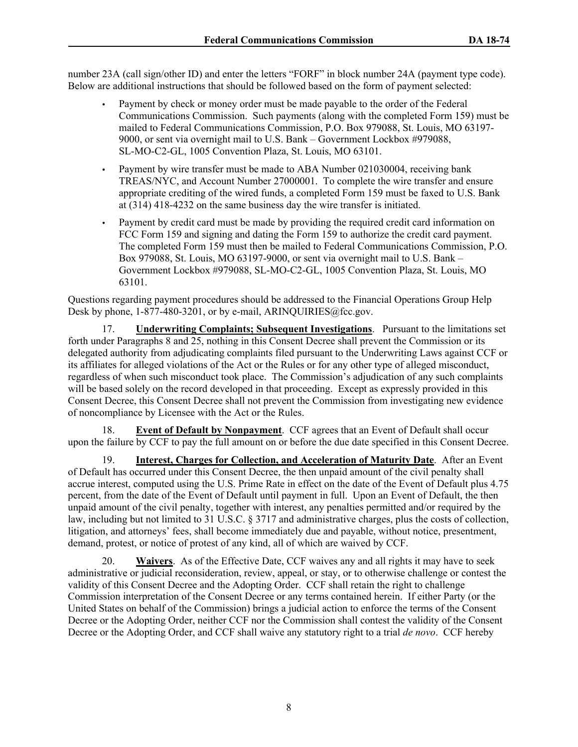number 23A (call sign/other ID) and enter the letters "FORF" in block number 24A (payment type code). Below are additional instructions that should be followed based on the form of payment selected:

- Payment by check or money order must be made payable to the order of the Federal Communications Commission. Such payments (along with the completed Form 159) must be mailed to Federal Communications Commission, P.O. Box 979088, St. Louis, MO 63197- 9000, or sent via overnight mail to U.S. Bank – Government Lockbox #979088, SL-MO-C2-GL, 1005 Convention Plaza, St. Louis, MO 63101.
- Payment by wire transfer must be made to ABA Number 021030004, receiving bank TREAS/NYC, and Account Number 27000001. To complete the wire transfer and ensure appropriate crediting of the wired funds, a completed Form 159 must be faxed to U.S. Bank at (314) 418-4232 on the same business day the wire transfer is initiated.
- Payment by credit card must be made by providing the required credit card information on FCC Form 159 and signing and dating the Form 159 to authorize the credit card payment. The completed Form 159 must then be mailed to Federal Communications Commission, P.O. Box 979088, St. Louis, MO 63197-9000, or sent via overnight mail to U.S. Bank – Government Lockbox #979088, SL-MO-C2-GL, 1005 Convention Plaza, St. Louis, MO 63101.

Questions regarding payment procedures should be addressed to the Financial Operations Group Help Desk by phone,  $1-877-480-3201$ , or by e-mail, ARINOUIRIES@fcc.gov.

17. **Underwriting Complaints; Subsequent Investigations**. Pursuant to the limitations set forth under Paragraphs 8 and 25, nothing in this Consent Decree shall prevent the Commission or its delegated authority from adjudicating complaints filed pursuant to the Underwriting Laws against CCF or its affiliates for alleged violations of the Act or the Rules or for any other type of alleged misconduct, regardless of when such misconduct took place. The Commission's adjudication of any such complaints will be based solely on the record developed in that proceeding. Except as expressly provided in this Consent Decree, this Consent Decree shall not prevent the Commission from investigating new evidence of noncompliance by Licensee with the Act or the Rules.

18. **Event of Default by Nonpayment**. CCF agrees that an Event of Default shall occur upon the failure by CCF to pay the full amount on or before the due date specified in this Consent Decree.

19. **Interest, Charges for Collection, and Acceleration of Maturity Date**. After an Event of Default has occurred under this Consent Decree, the then unpaid amount of the civil penalty shall accrue interest, computed using the U.S. Prime Rate in effect on the date of the Event of Default plus 4.75 percent, from the date of the Event of Default until payment in full. Upon an Event of Default, the then unpaid amount of the civil penalty, together with interest, any penalties permitted and/or required by the law, including but not limited to 31 U.S.C. § 3717 and administrative charges, plus the costs of collection, litigation, and attorneys' fees, shall become immediately due and payable, without notice, presentment, demand, protest, or notice of protest of any kind, all of which are waived by CCF.

20. **Waivers**. As of the Effective Date, CCF waives any and all rights it may have to seek administrative or judicial reconsideration, review, appeal, or stay, or to otherwise challenge or contest the validity of this Consent Decree and the Adopting Order. CCF shall retain the right to challenge Commission interpretation of the Consent Decree or any terms contained herein. If either Party (or the United States on behalf of the Commission) brings a judicial action to enforce the terms of the Consent Decree or the Adopting Order, neither CCF nor the Commission shall contest the validity of the Consent Decree or the Adopting Order, and CCF shall waive any statutory right to a trial *de novo*. CCF hereby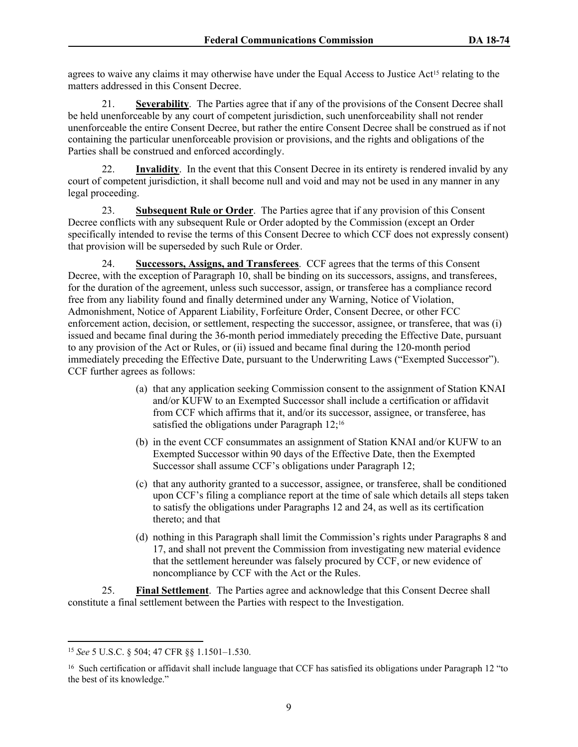agrees to waive any claims it may otherwise have under the Equal Access to Justice Act<sup>15</sup> relating to the matters addressed in this Consent Decree.

21. **Severability**. The Parties agree that if any of the provisions of the Consent Decree shall be held unenforceable by any court of competent jurisdiction, such unenforceability shall not render unenforceable the entire Consent Decree, but rather the entire Consent Decree shall be construed as if not containing the particular unenforceable provision or provisions, and the rights and obligations of the Parties shall be construed and enforced accordingly.

22. **Invalidity**. In the event that this Consent Decree in its entirety is rendered invalid by any court of competent jurisdiction, it shall become null and void and may not be used in any manner in any legal proceeding.

23. **Subsequent Rule or Order**. The Parties agree that if any provision of this Consent Decree conflicts with any subsequent Rule or Order adopted by the Commission (except an Order specifically intended to revise the terms of this Consent Decree to which CCF does not expressly consent) that provision will be superseded by such Rule or Order.

24. **Successors, Assigns, and Transferees**. CCF agrees that the terms of this Consent Decree, with the exception of Paragraph 10, shall be binding on its successors, assigns, and transferees, for the duration of the agreement, unless such successor, assign, or transferee has a compliance record free from any liability found and finally determined under any Warning, Notice of Violation, Admonishment, Notice of Apparent Liability, Forfeiture Order, Consent Decree, or other FCC enforcement action, decision, or settlement, respecting the successor, assignee, or transferee, that was (i) issued and became final during the 36-month period immediately preceding the Effective Date, pursuant to any provision of the Act or Rules, or (ii) issued and became final during the 120-month period immediately preceding the Effective Date, pursuant to the Underwriting Laws ("Exempted Successor"). CCF further agrees as follows:

- (a) that any application seeking Commission consent to the assignment of Station KNAI and/or KUFW to an Exempted Successor shall include a certification or affidavit from CCF which affirms that it, and/or its successor, assignee, or transferee, has satisfied the obligations under Paragraph 12;<sup>16</sup>
- (b) in the event CCF consummates an assignment of Station KNAI and/or KUFW to an Exempted Successor within 90 days of the Effective Date, then the Exempted Successor shall assume CCF's obligations under Paragraph 12;
- (c) that any authority granted to a successor, assignee, or transferee, shall be conditioned upon CCF's filing a compliance report at the time of sale which details all steps taken to satisfy the obligations under Paragraphs 12 and 24, as well as its certification thereto; and that
- (d) nothing in this Paragraph shall limit the Commission's rights under Paragraphs 8 and 17, and shall not prevent the Commission from investigating new material evidence that the settlement hereunder was falsely procured by CCF, or new evidence of noncompliance by CCF with the Act or the Rules.

25. **Final Settlement**. The Parties agree and acknowledge that this Consent Decree shall constitute a final settlement between the Parties with respect to the Investigation.

<sup>15</sup> *See* 5 U.S.C. § 504; 47 CFR §§ 1.1501–1.530.

<sup>&</sup>lt;sup>16</sup> Such certification or affidavit shall include language that CCF has satisfied its obligations under Paragraph 12 "to the best of its knowledge."